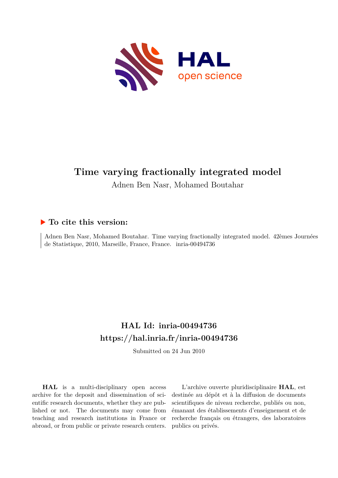

# **Time varying fractionally integrated model**

Adnen Ben Nasr, Mohamed Boutahar

## **To cite this version:**

Adnen Ben Nasr, Mohamed Boutahar. Time varying fractionally integrated model. 42èmes Journées de Statistique, 2010, Marseille, France, France. inria-00494736

## **HAL Id: inria-00494736 <https://hal.inria.fr/inria-00494736>**

Submitted on 24 Jun 2010

**HAL** is a multi-disciplinary open access archive for the deposit and dissemination of scientific research documents, whether they are published or not. The documents may come from teaching and research institutions in France or abroad, or from public or private research centers.

L'archive ouverte pluridisciplinaire **HAL**, est destinée au dépôt et à la diffusion de documents scientifiques de niveau recherche, publiés ou non, émanant des établissements d'enseignement et de recherche français ou étrangers, des laboratoires publics ou privés.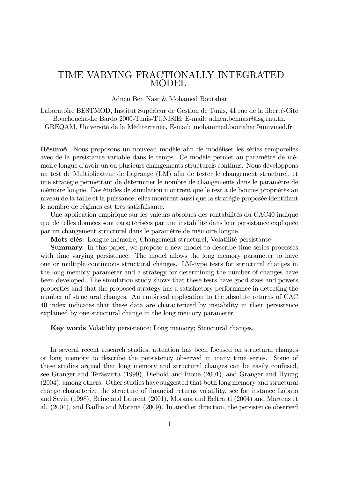## TIME VARYING FRACTIONALLY INTEGRATED MODEL

Adnen Ben Nasr & Mohamed Boutahar

Laboratoire BESTMOD, Institut Supérieur de Gestion de Tunis, 41 rue de la liberté-Cité Bouchoucha-Le Bardo 2000-Tunis-TUNISIE; E-mail: adnen.bennasr@isg.rnu.tn. GREQAM, Université de la Méditerranée, E-mail: mohammed.boutahar@univmed.fr.

Résumé. Nous proposons un nouveau modèle afin de modéliser les séries temporelles avec de la persistance variable dans le temps. Ce modèle permet au paramètre de mémoire longue d'avoir un ou plusieurs changements structurels continus. Nous développons un test de Multiplicateur de Lagrange (LM) afin de tester le changement structurel, et une stratégie permettant de déterminer le nombre de changements dans le paramètre de mémoire longue. Des études de simulation montrent que le test a de bonnes propriétés au niveau de la taille et la puissance; elles montrent aussi que la stratégie proposée identifiant le nombre de régimes est très satisfaisante.

Une application empirique sur les valeurs absolues des rentabilités du CAC40 indique que de telles données sont caractérisées par une instabilité dans leur persistance expliquée par un changement structurel dans le paramètre de mémoire longue.

Mots clés: Longue mémoire, Changement structurel, Volatilité persistante

Summary. In this paper, we propose a new model to describe time series processes with time varying persistence. The model allows the long memory parameter to have one or multiple continuous structural changes. LM-type tests for structural changes in the long memory parameter and a strategy for determining the number of changes have been developed. The simulation study shows that these tests have good sizes and powers properties and that the proposed strategy has a satisfactory performance in detecting the number of structural changes. An empirical application to the absolute returns of CAC 40 index indicates that these data are characterized by instability in their persistence explained by one structural change in the long memory parameter.

Key words Volatility persistence; Long memory; Structural changes.

In several recent research studies, attention has been focused on structural changes or long memory to describe the persistency observed in many time series. Some of these studies argued that long memory and structural changes can be easily confused, see Granger and Teräsvirta (1999), Diebold and Inoue (2001), and Granger and Hyung (2004), among others. Other studies have suggested that both long memory and structural change characterize the structure of financial returns volatility, see for instance Lobato and Savin (1998), Beine and Laurent (2001), Morana and Beltratti (2004) and Martens et al. (2004), and Baillie and Morana (2009). In another direction, the persistence observed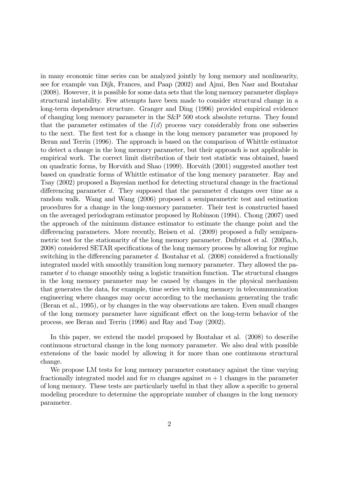in many economic time series can be analyzed jointly by long memory and nonlinearity, see for example van Dijk, Frances, and Paap (2002) and Ajmi, Ben Nasr and Boutahar (2008). However, it is possible for some data sets that the long memory parameter displays structural instability. Few attempts have been made to consider structural change in a long-term dependence structure. Granger and Ding (1996) provided empirical evidence of changing long memory parameter in the S&P 500 stock absolute returns. They found that the parameter estimates of the  $I(d)$  process vary considerably from one subseries to the next. The first test for a change in the long memory parameter was proposed by Beran and Terrin (1996). The approach is based on the comparison of Whittle estimator to detect a change in the long memory parameter, but their approach is not applicable in empirical work. The correct limit distribution of their test statistic was obtained, based on quadratic forms, by Horváth and Shao (1999). Horváth (2001) suggested another test based on quadratic forms of Whittle estimator of the long memory parameter. Ray and Tsay (2002) proposed a Bayesian method for detecting structural change in the fractional differencing parameter d. They supposed that the parameter d changes over time as a random walk. Wang and Wang (2006) proposed a semiparametric test and estimation procedures for a change in the long-memory parameter. Their test is constructed based on the averaged periodogram estimator proposed by Robinson (1994). Chong (2007) used the approach of the minimum distance estimator to estimate the change point and the differencing parameters. More recently, Reisen et al. (2009) proposed a fully semiparametric test for the stationarity of the long memory parameter. Dufrénot et al. (2005a,b, 2008) considered SETAR specifications of the long memory process by allowing for regime switching in the differencing parameter d. Boutahar et al. (2008) considered a fractionally integrated model with smoothly transition long memory parameter. They allowed the parameter d to change smoothly using a logistic transition function. The structural changes in the long memory parameter may be caused by changes in the physical mechanism that generates the data, for example, time series with long memory in telecommunication engineering where changes may occur according to the mechanism generating the trafic (Beran et al., 1995), or by changes in the way observations are taken. Even small changes of the long memory parameter have significant effect on the long-term behavior of the process, see Beran and Terrin (1996) and Ray and Tsay (2002).

In this paper, we extend the model proposed by Boutahar et al. (2008) to describe continuous structural change in the long memory parameter. We also deal with possible extensions of the basic model by allowing it for more than one continuous structural change.

We propose LM tests for long memory parameter constancy against the time varying fractionally integrated model and for m changes against  $m + 1$  changes in the parameter of long memory. These tests are particularly useful in that they allow a specific to general modeling procedure to determine the appropriate number of changes in the long memory parameter.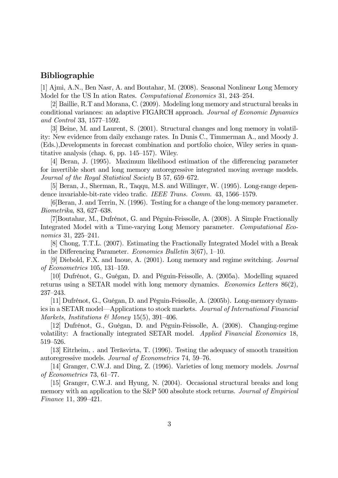#### Bibliographie

[1] Ajmi, A.N., Ben Nasr, A. and Boutahar, M. (2008). Seasonal Nonlinear Long Memory Model for the US In ation Rates. Computational Economics 31, 243—254.

[2] Baillie, R.T and Morana, C. (2009). Modeling long memory and structural breaks in conditional variances: an adaptive FIGARCH approach. Journal of Economic Dynamics and Control 33, 1577—1592.

[3] Beine, M. and Laurent, S. (2001). Structural changes and long memory in volatility: New evidence from daily exchange rates. In Dunis C., Timmerman A., and Moody J. (Eds.),Developments in forecast combination and portfolio choice, Wiley series in quantitative analysis (chap. 6, pp. 145—157). Wiley.

[4] Beran, J. (1995). Maximum likelihood estimation of the differencing parameter for invertible short and long memory autoregressive integrated moving average models. Journal of the Royal Statistical Society B 57, 659—672.

[5] Beran, J., Sherman, R., Taqqu, M.S. and Willinger, W. (1995). Long-range dependence invariable-bit-rate video trafic. IEEE Trans. Comm. 43, 1566—1579.

[6]Beran, J. and Terrin, N. (1996). Testing for a change of the long-memory parameter. Biometrika, 83, 627—638.

[7]Boutahar, M., Dufrénot, G. and Péguin-Feissolle, A. (2008). A Simple Fractionally Integrated Model with a Time-varying Long Memory parameter. Computational Economics 31, 225—241.

[8] Chong, T.T.L. (2007). Estimating the Fractionally Integrated Model with a Break in the Differencing Parameter. Economics Bulletin 3(67), 1—10.

[9] Diebold, F.X. and Inoue, A. (2001). Long memory and regime switching. Journal of Econometrics 105, 131—159.

[10] Dufrénot, G., Guégan, D. and Péguin-Feissolle, A. (2005a). Modelling squared returns using a SETAR model with long memory dynamics. Economics Letters 86(2), 237—243.

[11] Dufrénot, G., Guégan, D. and Péguin-Feissolle, A. (2005b). Long-memory dynamics in a SETAR model–Applications to stock markets. Journal of International Financial Markets, Institutions & Money 15(5), 391-406.

[12] Dufrénot, G., Guégan, D. and Péguin-Feissolle, A. (2008). Changing-regime volatility: A fractionally integrated SETAR model. Applied Financial Economics 18, 519—526.

[13] Eitrheim, . and Teräsvirta, T. (1996). Testing the adequacy of smooth transition autoregressive models. Journal of Econometrics 74, 59—76.

[14] Granger, C.W.J. and Ding, Z. (1996). Varieties of long memory models. Journal of Econometrics 73, 61—77.

[15] Granger, C.W.J. and Hyung, N. (2004). Occasional structural breaks and long memory with an application to the S&P 500 absolute stock returns. Journal of Empirical Finance 11, 399—421.